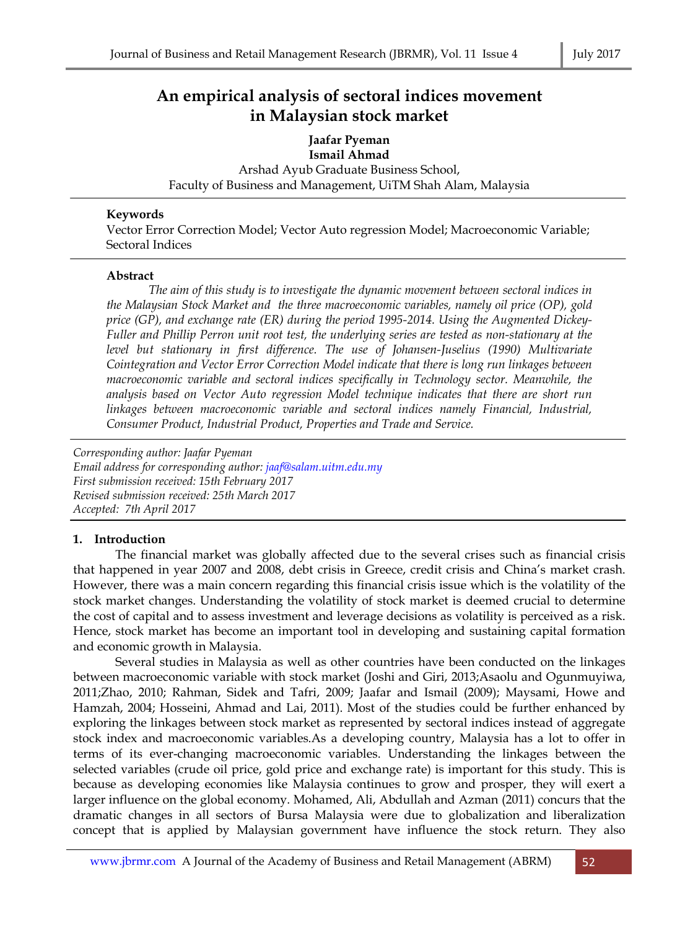# **An empirical analysis of sectoral indices movement in Malaysian stock market**

**Jaafar Pyeman Ismail Ahmad**  Arshad Ayub Graduate Business School, Faculty of Business and Management, UiTM Shah Alam, Malaysia

### **Keywords**

Vector Error Correction Model; Vector Auto regression Model; Macroeconomic Variable; Sectoral Indices

### **Abstract**

*The aim of this study is to investigate the dynamic movement between sectoral indices in the Malaysian Stock Market and the three macroeconomic variables, namely oil price (OP), gold price (GP), and exchange rate (ER) during the period 1995-2014. Using the Augmented Dickey-Fuller and Phillip Perron unit root test, the underlying series are tested as non-stationary at the level but stationary in first difference. The use of Johansen-Juselius (1990) Multivariate Cointegration and Vector Error Correction Model indicate that there is long run linkages between macroeconomic variable and sectoral indices specifically in Technology sector. Meanwhile, the analysis based on Vector Auto regression Model technique indicates that there are short run linkages between macroeconomic variable and sectoral indices namely Financial, Industrial, Consumer Product, Industrial Product, Properties and Trade and Service.* 

*Corresponding author: Jaafar Pyeman Email address for corresponding author: jaaf@salam.uitm.edu.my First submission received: 15th February 2017 Revised submission received: 25th March 2017 Accepted: 7th April 2017* 

# **1. Introduction**

The financial market was globally affected due to the several crises such as financial crisis that happened in year 2007 and 2008, debt crisis in Greece, credit crisis and China's market crash. However, there was a main concern regarding this financial crisis issue which is the volatility of the stock market changes. Understanding the volatility of stock market is deemed crucial to determine the cost of capital and to assess investment and leverage decisions as volatility is perceived as a risk. Hence, stock market has become an important tool in developing and sustaining capital formation and economic growth in Malaysia.

Several studies in Malaysia as well as other countries have been conducted on the linkages between macroeconomic variable with stock market (Joshi and Giri, 2013;Asaolu and Ogunmuyiwa, 2011;Zhao, 2010; Rahman, Sidek and Tafri, 2009; Jaafar and Ismail (2009); Maysami, Howe and Hamzah, 2004; Hosseini, Ahmad and Lai, 2011). Most of the studies could be further enhanced by exploring the linkages between stock market as represented by sectoral indices instead of aggregate stock index and macroeconomic variables.As a developing country, Malaysia has a lot to offer in terms of its ever-changing macroeconomic variables. Understanding the linkages between the selected variables (crude oil price, gold price and exchange rate) is important for this study. This is because as developing economies like Malaysia continues to grow and prosper, they will exert a larger influence on the global economy. Mohamed, Ali, Abdullah and Azman (2011) concurs that the dramatic changes in all sectors of Bursa Malaysia were due to globalization and liberalization concept that is applied by Malaysian government have influence the stock return. They also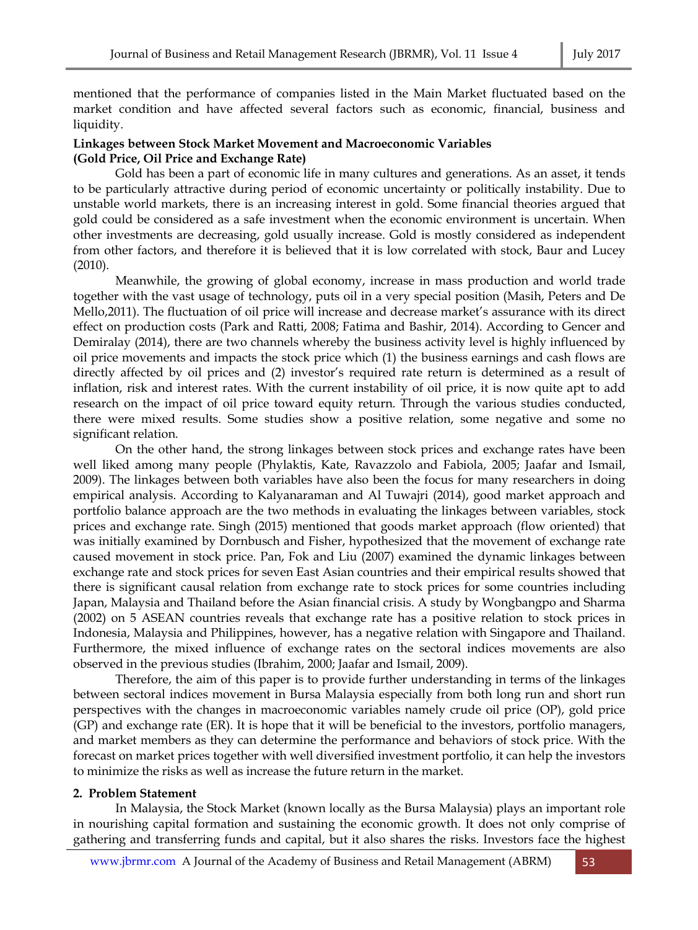mentioned that the performance of companies listed in the Main Market fluctuated based on the market condition and have affected several factors such as economic, financial, business and liquidity.

## **Linkages between Stock Market Movement and Macroeconomic Variables (Gold Price, Oil Price and Exchange Rate)**

Gold has been a part of economic life in many cultures and generations. As an asset, it tends to be particularly attractive during period of economic uncertainty or politically instability. Due to unstable world markets, there is an increasing interest in gold. Some financial theories argued that gold could be considered as a safe investment when the economic environment is uncertain. When other investments are decreasing, gold usually increase. Gold is mostly considered as independent from other factors, and therefore it is believed that it is low correlated with stock, Baur and Lucey (2010).

Meanwhile, the growing of global economy, increase in mass production and world trade together with the vast usage of technology, puts oil in a very special position (Masih, Peters and De Mello,2011). The fluctuation of oil price will increase and decrease market's assurance with its direct effect on production costs (Park and Ratti, 2008; Fatima and Bashir, 2014). According to Gencer and Demiralay (2014), there are two channels whereby the business activity level is highly influenced by oil price movements and impacts the stock price which (1) the business earnings and cash flows are directly affected by oil prices and (2) investor's required rate return is determined as a result of inflation, risk and interest rates. With the current instability of oil price, it is now quite apt to add research on the impact of oil price toward equity return. Through the various studies conducted, there were mixed results. Some studies show a positive relation, some negative and some no significant relation.

On the other hand, the strong linkages between stock prices and exchange rates have been well liked among many people (Phylaktis, Kate, Ravazzolo and Fabiola, 2005; Jaafar and Ismail, 2009). The linkages between both variables have also been the focus for many researchers in doing empirical analysis. According to Kalyanaraman and Al Tuwajri (2014), good market approach and portfolio balance approach are the two methods in evaluating the linkages between variables, stock prices and exchange rate. Singh (2015) mentioned that goods market approach (flow oriented) that was initially examined by Dornbusch and Fisher, hypothesized that the movement of exchange rate caused movement in stock price. Pan, Fok and Liu (2007) examined the dynamic linkages between exchange rate and stock prices for seven East Asian countries and their empirical results showed that there is significant causal relation from exchange rate to stock prices for some countries including Japan, Malaysia and Thailand before the Asian financial crisis. A study by Wongbangpo and Sharma (2002) on 5 ASEAN countries reveals that exchange rate has a positive relation to stock prices in Indonesia, Malaysia and Philippines, however, has a negative relation with Singapore and Thailand. Furthermore, the mixed influence of exchange rates on the sectoral indices movements are also observed in the previous studies (Ibrahim, 2000; Jaafar and Ismail, 2009).

Therefore, the aim of this paper is to provide further understanding in terms of the linkages between sectoral indices movement in Bursa Malaysia especially from both long run and short run perspectives with the changes in macroeconomic variables namely crude oil price (OP), gold price (GP) and exchange rate (ER). It is hope that it will be beneficial to the investors, portfolio managers, and market members as they can determine the performance and behaviors of stock price. With the forecast on market prices together with well diversified investment portfolio, it can help the investors to minimize the risks as well as increase the future return in the market.

#### **2. Problem Statement**

In Malaysia, the Stock Market (known locally as the Bursa Malaysia) plays an important role in nourishing capital formation and sustaining the economic growth. It does not only comprise of gathering and transferring funds and capital, but it also shares the risks. Investors face the highest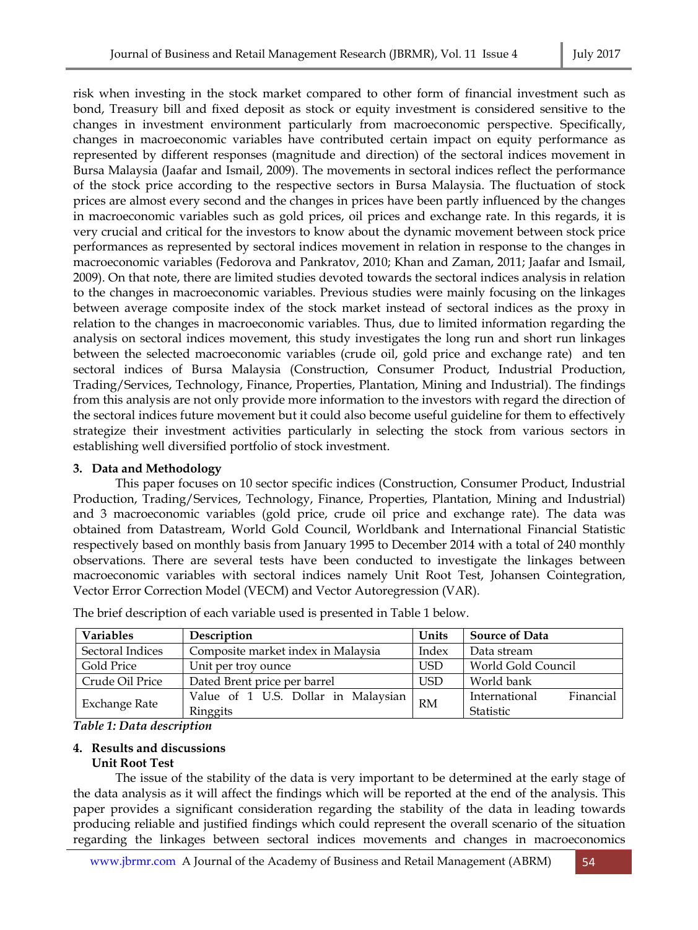risk when investing in the stock market compared to other form of financial investment such as bond, Treasury bill and fixed deposit as stock or equity investment is considered sensitive to the changes in investment environment particularly from macroeconomic perspective. Specifically, changes in macroeconomic variables have contributed certain impact on equity performance as represented by different responses (magnitude and direction) of the sectoral indices movement in Bursa Malaysia (Jaafar and Ismail, 2009). The movements in sectoral indices reflect the performance of the stock price according to the respective sectors in Bursa Malaysia. The fluctuation of stock prices are almost every second and the changes in prices have been partly influenced by the changes in macroeconomic variables such as gold prices, oil prices and exchange rate. In this regards, it is very crucial and critical for the investors to know about the dynamic movement between stock price performances as represented by sectoral indices movement in relation in response to the changes in macroeconomic variables (Fedorova and Pankratov, 2010; Khan and Zaman, 2011; Jaafar and Ismail, 2009). On that note, there are limited studies devoted towards the sectoral indices analysis in relation to the changes in macroeconomic variables. Previous studies were mainly focusing on the linkages between average composite index of the stock market instead of sectoral indices as the proxy in relation to the changes in macroeconomic variables. Thus, due to limited information regarding the analysis on sectoral indices movement, this study investigates the long run and short run linkages between the selected macroeconomic variables (crude oil, gold price and exchange rate) and ten sectoral indices of Bursa Malaysia (Construction, Consumer Product, Industrial Production, Trading/Services, Technology, Finance, Properties, Plantation, Mining and Industrial). The findings from this analysis are not only provide more information to the investors with regard the direction of the sectoral indices future movement but it could also become useful guideline for them to effectively strategize their investment activities particularly in selecting the stock from various sectors in establishing well diversified portfolio of stock investment.

## **3. Data and Methodology**

This paper focuses on 10 sector specific indices (Construction, Consumer Product, Industrial Production, Trading/Services, Technology, Finance, Properties, Plantation, Mining and Industrial) and 3 macroeconomic variables (gold price, crude oil price and exchange rate). The data was obtained from Datastream, World Gold Council, Worldbank and International Financial Statistic respectively based on monthly basis from January 1995 to December 2014 with a total of 240 monthly observations. There are several tests have been conducted to investigate the linkages between macroeconomic variables with sectoral indices namely Unit Root Test, Johansen Cointegration, Vector Error Correction Model (VECM) and Vector Autoregression (VAR).

| <b>Variables</b>     | Description                         | Units      | <b>Source of Data</b>      |  |
|----------------------|-------------------------------------|------------|----------------------------|--|
| Sectoral Indices     | Composite market index in Malaysia  | Index      | Data stream                |  |
| Gold Price           | Unit per troy ounce                 | <b>USD</b> | World Gold Council         |  |
| Crude Oil Price      | Dated Brent price per barrel        | <b>USD</b> | World bank                 |  |
| <b>Exchange Rate</b> | Value of 1 U.S. Dollar in Malaysian | RM         | International<br>Financial |  |
|                      | Ringgits                            |            | Statistic                  |  |

The brief description of each variable used is presented in Table 1 below.

## *Table 1: Data description*

# **4. Results and discussions**

# **Unit Root Test**

The issue of the stability of the data is very important to be determined at the early stage of the data analysis as it will affect the findings which will be reported at the end of the analysis. This paper provides a significant consideration regarding the stability of the data in leading towards producing reliable and justified findings which could represent the overall scenario of the situation regarding the linkages between sectoral indices movements and changes in macroeconomics

www.jbrmr.com A Journal of the Academy of Business and Retail Management (ABRM) 54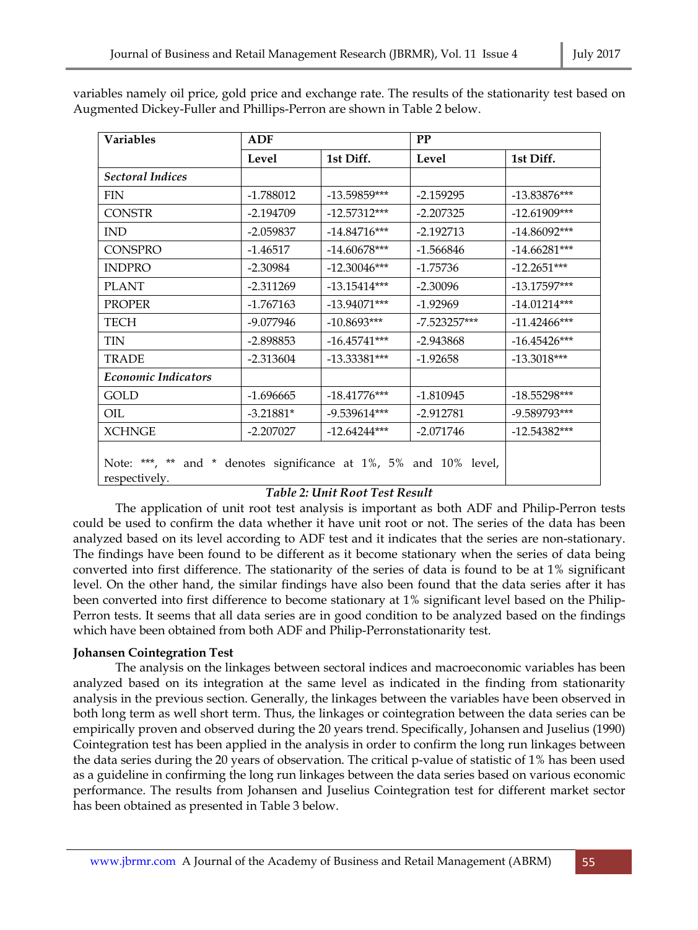| <b>Variables</b>                                                                      | <b>ADF</b>  |                | PP             |                |  |
|---------------------------------------------------------------------------------------|-------------|----------------|----------------|----------------|--|
|                                                                                       | Level       | 1st Diff.      | Level          | 1st Diff.      |  |
| <b>Sectoral Indices</b>                                                               |             |                |                |                |  |
| <b>FIN</b>                                                                            | $-1.788012$ | $-13.59859***$ | $-2.159295$    | $-13.83876***$ |  |
| <b>CONSTR</b>                                                                         | $-2.194709$ | $-12.57312***$ | $-2.207325$    | $-12.61909***$ |  |
| <b>IND</b>                                                                            | $-2.059837$ | $-14.84716***$ | $-2.192713$    | $-14.86092***$ |  |
| <b>CONSPRO</b>                                                                        | $-1.46517$  | $-14.60678***$ | $-1.566846$    | $-14.66281***$ |  |
| <b>INDPRO</b>                                                                         | $-2.30984$  | $-12.30046***$ | $-1.75736$     | $-12.2651***$  |  |
| <b>PLANT</b>                                                                          | $-2.311269$ | $-13.15414***$ | $-2.30096$     | $-13.17597***$ |  |
| <b>PROPER</b>                                                                         | $-1.767163$ | $-13.94071***$ | $-1.92969$     | $-14.01214***$ |  |
| <b>TECH</b>                                                                           | -9.077946   | $-10.8693***$  | $-7.523257***$ | $-11.42466***$ |  |
| <b>TIN</b>                                                                            | $-2.898853$ | $-16.45741***$ | $-2.943868$    | $-16.45426***$ |  |
| <b>TRADE</b>                                                                          | $-2.313604$ | $-13.33381***$ | $-1.92658$     | $-13.3018***$  |  |
| <b>Economic Indicators</b>                                                            |             |                |                |                |  |
| <b>GOLD</b>                                                                           | $-1.696665$ | $-18.41776***$ | $-1.810945$    | $-18.55298***$ |  |
| OIL                                                                                   | $-3.21881*$ | $-9.539614***$ | $-2.912781$    | -9.589793***   |  |
| <b>XCHNGE</b>                                                                         | $-2.207027$ | $-12.64244***$ | $-2.071746$    | $-12.54382***$ |  |
| Note: ***, **<br>and * denotes significance at 1%, 5% and 10% level,<br>respectively. |             |                |                |                |  |

variables namely oil price, gold price and exchange rate. The results of the stationarity test based on Augmented Dickey-Fuller and Phillips-Perron are shown in Table 2 below.

# *Table 2: Unit Root Test Result*

The application of unit root test analysis is important as both ADF and Philip-Perron tests could be used to confirm the data whether it have unit root or not. The series of the data has been analyzed based on its level according to ADF test and it indicates that the series are non-stationary. The findings have been found to be different as it become stationary when the series of data being converted into first difference. The stationarity of the series of data is found to be at 1% significant level. On the other hand, the similar findings have also been found that the data series after it has been converted into first difference to become stationary at 1% significant level based on the Philip-Perron tests. It seems that all data series are in good condition to be analyzed based on the findings which have been obtained from both ADF and Philip-Perronstationarity test.

# **Johansen Cointegration Test**

The analysis on the linkages between sectoral indices and macroeconomic variables has been analyzed based on its integration at the same level as indicated in the finding from stationarity analysis in the previous section. Generally, the linkages between the variables have been observed in both long term as well short term. Thus, the linkages or cointegration between the data series can be empirically proven and observed during the 20 years trend. Specifically, Johansen and Juselius (1990) Cointegration test has been applied in the analysis in order to confirm the long run linkages between the data series during the 20 years of observation. The critical p-value of statistic of 1% has been used as a guideline in confirming the long run linkages between the data series based on various economic performance. The results from Johansen and Juselius Cointegration test for different market sector has been obtained as presented in Table 3 below.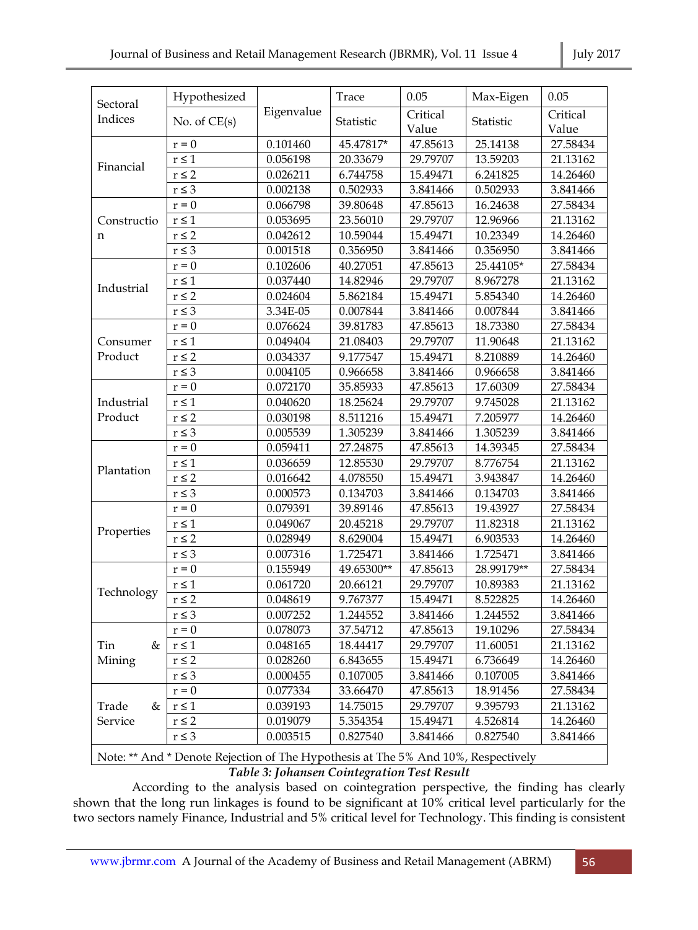| Sectoral           | Hypothesized     |            | Trace      | 0.05              | Max-Eigen  | 0.05              |
|--------------------|------------------|------------|------------|-------------------|------------|-------------------|
| Indices            | No. of $CE(s)$   | Eigenvalue | Statistic  | Critical<br>Value | Statistic  | Critical<br>Value |
|                    | $\mathbf{r} = 0$ | 0.101460   | 45.47817*  | 47.85613          | 25.14138   | 27.58434          |
| Financial          | $r \leq 1$       | 0.056198   | 20.33679   | 29.79707          | 13.59203   | 21.13162          |
|                    | $r \leq 2$       | 0.026211   | 6.744758   | 15.49471          | 6.241825   | 14.26460          |
|                    | $r\leq 3$        | 0.002138   | 0.502933   | 3.841466          | 0.502933   | 3.841466          |
|                    | $r = 0$          | 0.066798   | 39.80648   | 47.85613          | 16.24638   | 27.58434          |
| Constructio        | $r\leq 1$        | 0.053695   | 23.56010   | 29.79707          | 12.96966   | 21.13162          |
| n                  | $r \leq 2$       | 0.042612   | 10.59044   | 15.49471          | 10.23349   | 14.26460          |
|                    | $r \leq 3$       | 0.001518   | 0.356950   | 3.841466          | 0.356950   | 3.841466          |
|                    | $r = 0$          | 0.102606   | 40.27051   | 47.85613          | 25.44105*  | 27.58434          |
|                    | $r \leq 1$       | 0.037440   | 14.82946   | 29.79707          | 8.967278   | 21.13162          |
| Industrial         | $r \leq 2$       | 0.024604   | 5.862184   | 15.49471          | 5.854340   | 14.26460          |
|                    | $r\leq 3$        | 3.34E-05   | 0.007844   | 3.841466          | 0.007844   | 3.841466          |
|                    | $\mathbf{r} = 0$ | 0.076624   | 39.81783   | 47.85613          | 18.73380   | 27.58434          |
| Consumer           | $r \leq 1$       | 0.049404   | 21.08403   | 29.79707          | 11.90648   | 21.13162          |
| Product            | $r \leq 2$       | 0.034337   | 9.177547   | 15.49471          | 8.210889   | 14.26460          |
|                    | $r\leq 3$        | 0.004105   | 0.966658   | 3.841466          | 0.966658   | 3.841466          |
|                    | $r = 0$          | 0.072170   | 35.85933   | 47.85613          | 17.60309   | 27.58434          |
| Industrial         | $r\leq 1$        | 0.040620   | 18.25624   | 29.79707          | 9.745028   | 21.13162          |
| Product            | $r \leq 2$       | 0.030198   | 8.511216   | 15.49471          | 7.205977   | 14.26460          |
|                    | $r\leq 3$        | 0.005539   | 1.305239   | 3.841466          | 1.305239   | 3.841466          |
|                    | $\mathbf{r} = 0$ | 0.059411   | 27.24875   | 47.85613          | 14.39345   | 27.58434          |
|                    | $r\leq 1$        | 0.036659   | 12.85530   | 29.79707          | 8.776754   | 21.13162          |
| Plantation         | $r \leq 2$       | 0.016642   | 4.078550   | 15.49471          | 3.943847   | 14.26460          |
|                    | $r\leq 3$        | 0.000573   | 0.134703   | 3.841466          | 0.134703   | 3.841466          |
|                    | $r = 0$          | 0.079391   | 39.89146   | 47.85613          | 19.43927   | 27.58434          |
|                    | $r \leq 1$       | 0.049067   | 20.45218   | 29.79707          | 11.82318   | 21.13162          |
| Properties         | $r \leq 2$       | 0.028949   | 8.629004   | 15.49471          | 6.903533   | 14.26460          |
|                    | $r\leq 3$        | 0.007316   | 1.725471   | 3.841466          | 1.725471   | 3.841466          |
|                    | $\mathbf{r} = 0$ | 0.155949   | 49.65300** | 47.85613          | 28.99179** | 27.58434          |
| Technology         | $r \leq 1$       | 0.061720   | 20.66121   | 29.79707          | 10.89383   | 21.13162          |
|                    | $r \leq 2$       | 0.048619   | 9.767377   | 15.49471          | 8.522825   | 14.26460          |
|                    | $r\leq 3$        | 0.007252   | 1.244552   | 3.841466          | 1.244552   | 3.841466          |
| Tin<br>&<br>Mining | $r = 0$          | 0.078073   | 37.54712   | 47.85613          | 19.10296   | 27.58434          |
|                    | $r \leq 1$       | 0.048165   | 18.44417   | 29.79707          | 11.60051   | 21.13162          |
|                    | $r \leq 2$       | 0.028260   | 6.843655   | 15.49471          | 6.736649   | 14.26460          |
|                    | $r \leq 3$       | 0.000455   | 0.107005   | 3.841466          | 0.107005   | 3.841466          |
|                    | $r = 0$          | 0.077334   | 33.66470   | 47.85613          | 18.91456   | 27.58434          |
| Trade<br>&         | $r\leq 1$        | 0.039193   | 14.75015   | 29.79707          | 9.395793   | 21.13162          |
| Service            | $r \leq 2$       | 0.019079   | 5.354354   | 15.49471          | 4.526814   | 14.26460          |
|                    | $r \leq 3$       | 0.003515   | 0.827540   | 3.841466          | 0.827540   | 3.841466          |

Note: \*\* And \* Denote Rejection of The Hypothesis at The 5% And 10%, Respectively *Table 3: Johansen Cointegration Test Result* 

 According to the analysis based on cointegration perspective, the finding has clearly shown that the long run linkages is found to be significant at 10% critical level particularly for the two sectors namely Finance, Industrial and 5% critical level for Technology. This finding is consistent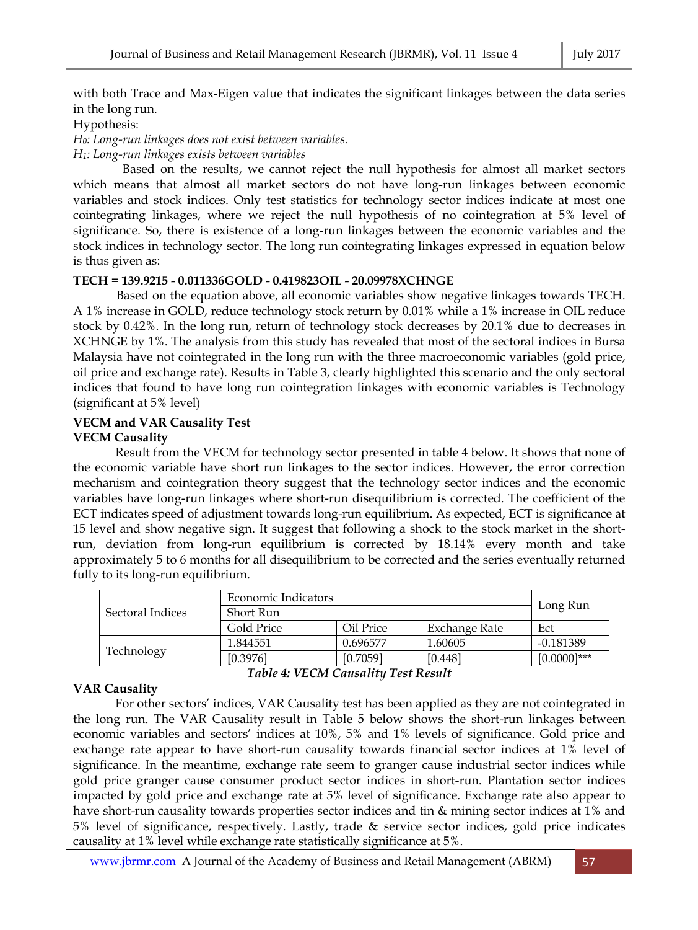with both Trace and Max-Eigen value that indicates the significant linkages between the data series in the long run.

#### Hypothesis:

*H0: Long-run linkages does not exist between variables.* 

*H1: Long-run linkages exists between variables* 

Based on the results, we cannot reject the null hypothesis for almost all market sectors which means that almost all market sectors do not have long-run linkages between economic variables and stock indices. Only test statistics for technology sector indices indicate at most one cointegrating linkages, where we reject the null hypothesis of no cointegration at 5% level of significance. So, there is existence of a long-run linkages between the economic variables and the stock indices in technology sector. The long run cointegrating linkages expressed in equation below is thus given as:

#### **TECH = 139.9215 - 0.011336GOLD - 0.419823OIL - 20.09978XCHNGE**

Based on the equation above, all economic variables show negative linkages towards TECH. A 1% increase in GOLD, reduce technology stock return by 0.01% while a 1% increase in OIL reduce stock by 0.42%. In the long run, return of technology stock decreases by 20.1% due to decreases in XCHNGE by 1%. The analysis from this study has revealed that most of the sectoral indices in Bursa Malaysia have not cointegrated in the long run with the three macroeconomic variables (gold price, oil price and exchange rate). Results in Table 3, clearly highlighted this scenario and the only sectoral indices that found to have long run cointegration linkages with economic variables is Technology (significant at 5% level)

# **VECM and VAR Causality Test**

### **VECM Causality**

Result from the VECM for technology sector presented in table 4 below. It shows that none of the economic variable have short run linkages to the sector indices. However, the error correction mechanism and cointegration theory suggest that the technology sector indices and the economic variables have long-run linkages where short-run disequilibrium is corrected. The coefficient of the ECT indicates speed of adjustment towards long-run equilibrium. As expected, ECT is significance at 15 level and show negative sign. It suggest that following a shock to the stock market in the shortrun, deviation from long-run equilibrium is corrected by 18.14% every month and take approximately 5 to 6 months for all disequilibrium to be corrected and the series eventually returned fully to its long-run equilibrium.

|                  | Economic Indicators | Long Run  |               |                |
|------------------|---------------------|-----------|---------------|----------------|
| Sectoral Indices | Short Run           |           |               |                |
|                  | Gold Price          | Oil Price | Exchange Rate | Ect            |
| Technology       | 1.844551            | 0.696577  | 1.60605       | $-0.181389$    |
|                  | [0.3976]            | [0.7059]  | [0.448]       | $[0.0000]$ *** |

*Table 4: VECM Causality Test Result* 

#### **VAR Causality**

For other sectors' indices, VAR Causality test has been applied as they are not cointegrated in the long run. The VAR Causality result in Table 5 below shows the short-run linkages between economic variables and sectors' indices at 10%, 5% and 1% levels of significance. Gold price and exchange rate appear to have short-run causality towards financial sector indices at 1% level of significance. In the meantime, exchange rate seem to granger cause industrial sector indices while gold price granger cause consumer product sector indices in short-run. Plantation sector indices impacted by gold price and exchange rate at 5% level of significance. Exchange rate also appear to have short-run causality towards properties sector indices and tin & mining sector indices at 1% and 5% level of significance, respectively. Lastly, trade & service sector indices, gold price indicates causality at 1% level while exchange rate statistically significance at 5%.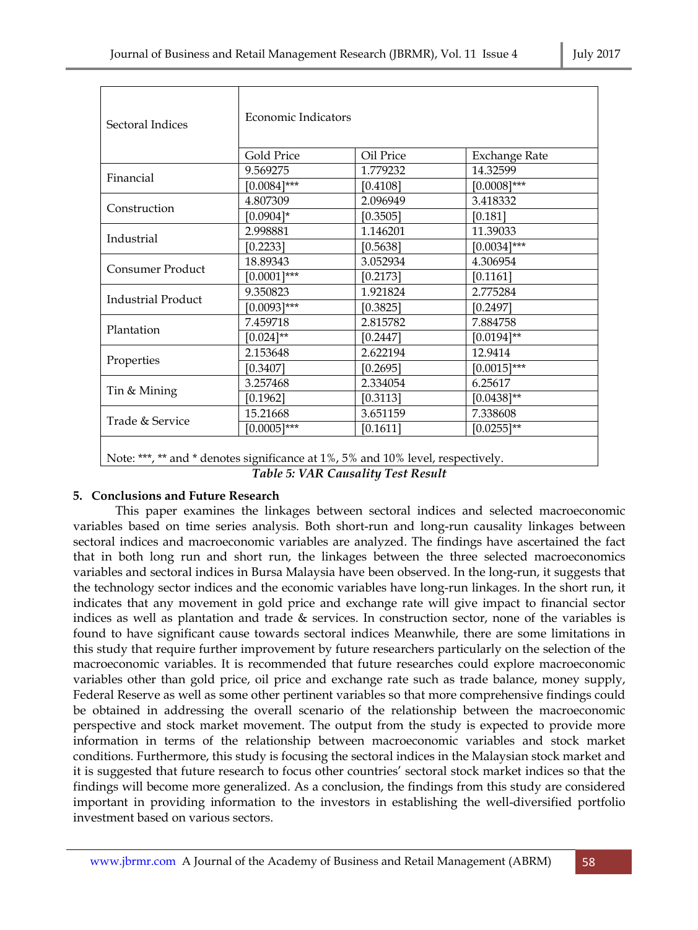| Sectoral Indices          | Economic Indicators |           |                      |  |
|---------------------------|---------------------|-----------|----------------------|--|
|                           | Gold Price          | Oil Price | <b>Exchange Rate</b> |  |
| Financial                 | 9.569275            | 1.779232  | 14.32599             |  |
|                           | $[0.0084]$ ***      | [0.4108]  | $[0.0008]$ ***       |  |
| Construction              | 4.807309            | 2.096949  | 3.418332             |  |
|                           | $[0.0904]$ *        | [0.3505]  | [0.181]              |  |
|                           | 2.998881            | 1.146201  | 11.39033             |  |
| Industrial                | [0.2233]            | [0.5638]  | $[0.0034]$ ***       |  |
| Consumer Product          | 18.89343            | 3.052934  | 4.306954             |  |
|                           | $[0.0001]$ ***      | [0.2173]  | [0.1161]             |  |
| <b>Industrial Product</b> | 9.350823            | 1.921824  | 2.775284             |  |
|                           | $[0.0093]$ ***      | [0.3825]  | [0.2497]             |  |
|                           | 7.459718            | 2.815782  | 7.884758             |  |
| Plantation                | $[0.024]$ **        | [0.2447]  | $[0.0194]$ **        |  |
| Properties                | 2.153648            | 2.622194  | 12.9414              |  |
|                           | [0.3407]            | [0.2695]  | $[0.0015]$ ***       |  |
|                           | 3.257468            | 2.334054  | 6.25617              |  |
| Tin & Mining              | [0.1962]            | [0.3113]  | $[0.0438]$ **        |  |
| Trade & Service           | 15.21668            | 3.651159  | 7.338608             |  |
|                           | $[0.0005]$ ***      | [0.1611]  | $[0.0255]$ **        |  |
|                           |                     |           |                      |  |

Note: \*\*\*, \*\* and \* denotes significance at 1%, 5% and 10% level, respectively.

*Table 5: VAR Causality Test Result* 

# **5. Conclusions and Future Research**

This paper examines the linkages between sectoral indices and selected macroeconomic variables based on time series analysis. Both short-run and long-run causality linkages between sectoral indices and macroeconomic variables are analyzed. The findings have ascertained the fact that in both long run and short run, the linkages between the three selected macroeconomics variables and sectoral indices in Bursa Malaysia have been observed. In the long-run, it suggests that the technology sector indices and the economic variables have long-run linkages. In the short run, it indicates that any movement in gold price and exchange rate will give impact to financial sector indices as well as plantation and trade & services. In construction sector, none of the variables is found to have significant cause towards sectoral indices Meanwhile, there are some limitations in this study that require further improvement by future researchers particularly on the selection of the macroeconomic variables. It is recommended that future researches could explore macroeconomic variables other than gold price, oil price and exchange rate such as trade balance, money supply, Federal Reserve as well as some other pertinent variables so that more comprehensive findings could be obtained in addressing the overall scenario of the relationship between the macroeconomic perspective and stock market movement. The output from the study is expected to provide more information in terms of the relationship between macroeconomic variables and stock market conditions. Furthermore, this study is focusing the sectoral indices in the Malaysian stock market and it is suggested that future research to focus other countries' sectoral stock market indices so that the findings will become more generalized. As a conclusion, the findings from this study are considered important in providing information to the investors in establishing the well-diversified portfolio investment based on various sectors.